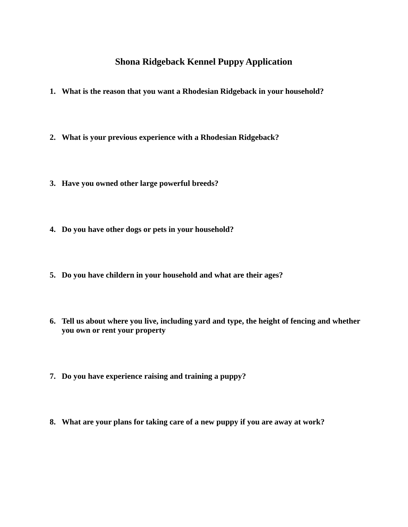## **Shona Ridgeback Kennel Puppy Application**

- **1. What is the reason that you want a Rhodesian Ridgeback in your household?**
- **2. What is your previous experience with a Rhodesian Ridgeback?**
- **3. Have you owned other large powerful breeds?**
- **4. Do you have other dogs or pets in your household?**
- **5. Do you have childern in your household and what are their ages?**
- **6. Tell us about where you live, including yard and type, the height of fencing and whether you own or rent your property**
- **7. Do you have experience raising and training a puppy?**
- **8. What are your plans for taking care of a new puppy if you are away at work?**